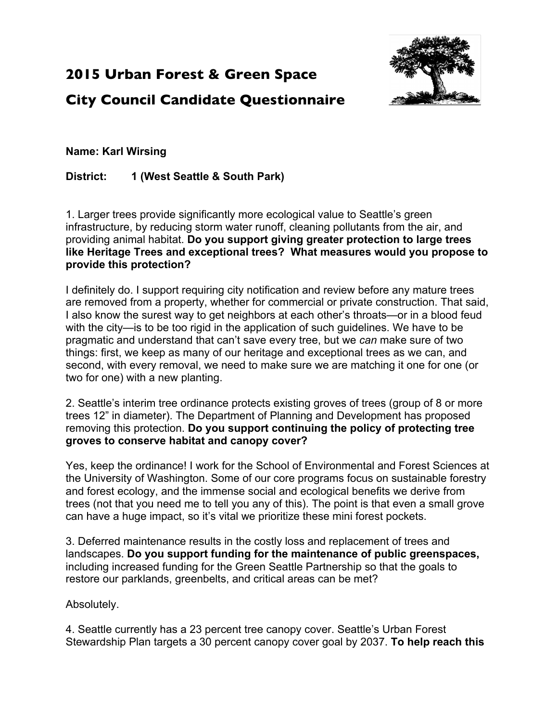# **2015 Urban Forest & Green Space**

**City Council Candidate Questionnaire**



# **Name: Karl Wirsing**

## **District: 1 (West Seattle & South Park)**

1. Larger trees provide significantly more ecological value to Seattle's green infrastructure, by reducing storm water runoff, cleaning pollutants from the air, and providing animal habitat. **Do you support giving greater protection to large trees like Heritage Trees and exceptional trees? What measures would you propose to provide this protection?**

I definitely do. I support requiring city notification and review before any mature trees are removed from a property, whether for commercial or private construction. That said, I also know the surest way to get neighbors at each other's throats—or in a blood feud with the city—is to be too rigid in the application of such guidelines. We have to be pragmatic and understand that can't save every tree, but we *can* make sure of two things: first, we keep as many of our heritage and exceptional trees as we can, and second, with every removal, we need to make sure we are matching it one for one (or two for one) with a new planting.

2. Seattle's interim tree ordinance protects existing groves of trees (group of 8 or more trees 12" in diameter). The Department of Planning and Development has proposed removing this protection. **Do you support continuing the policy of protecting tree groves to conserve habitat and canopy cover?**

Yes, keep the ordinance! I work for the School of Environmental and Forest Sciences at the University of Washington. Some of our core programs focus on sustainable forestry and forest ecology, and the immense social and ecological benefits we derive from trees (not that you need me to tell you any of this). The point is that even a small grove can have a huge impact, so it's vital we prioritize these mini forest pockets.

3. Deferred maintenance results in the costly loss and replacement of trees and landscapes. **Do you support funding for the maintenance of public greenspaces,** including increased funding for the Green Seattle Partnership so that the goals to restore our parklands, greenbelts, and critical areas can be met?

### Absolutely.

4. Seattle currently has a 23 percent tree canopy cover. Seattle's Urban Forest Stewardship Plan targets a 30 percent canopy cover goal by 2037. **To help reach this**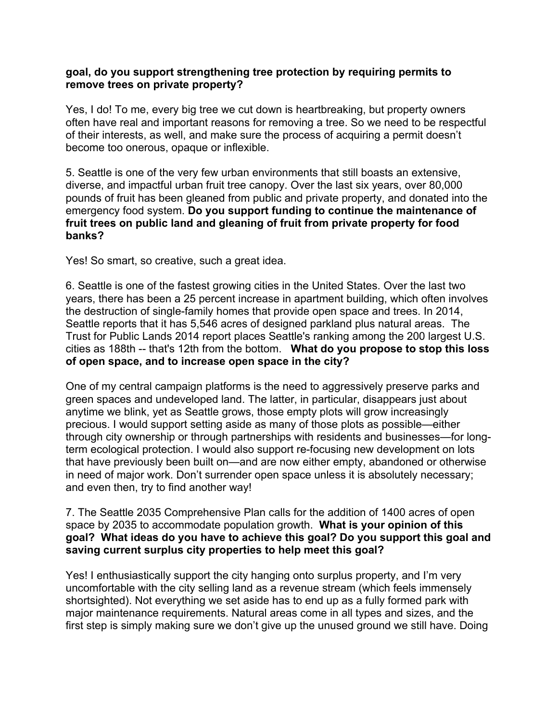#### **goal, do you support strengthening tree protection by requiring permits to remove trees on private property?**

Yes, I do! To me, every big tree we cut down is heartbreaking, but property owners often have real and important reasons for removing a tree. So we need to be respectful of their interests, as well, and make sure the process of acquiring a permit doesn't become too onerous, opaque or inflexible.

5. Seattle is one of the very few urban environments that still boasts an extensive, diverse, and impactful urban fruit tree canopy. Over the last six years, over 80,000 pounds of fruit has been gleaned from public and private property, and donated into the emergency food system. **Do you support funding to continue the maintenance of fruit trees on public land and gleaning of fruit from private property for food banks?**

Yes! So smart, so creative, such a great idea.

6. Seattle is one of the fastest growing cities in the United States. Over the last two years, there has been a 25 percent increase in apartment building, which often involves the destruction of single-family homes that provide open space and trees. In 2014, Seattle reports that it has 5,546 acres of designed parkland plus natural areas. The Trust for Public Lands 2014 report places Seattle's ranking among the 200 largest U.S. cities as 188th -- that's 12th from the bottom. **What do you propose to stop this loss of open space, and to increase open space in the city?**

One of my central campaign platforms is the need to aggressively preserve parks and green spaces and undeveloped land. The latter, in particular, disappears just about anytime we blink, yet as Seattle grows, those empty plots will grow increasingly precious. I would support setting aside as many of those plots as possible—either through city ownership or through partnerships with residents and businesses—for longterm ecological protection. I would also support re-focusing new development on lots that have previously been built on—and are now either empty, abandoned or otherwise in need of major work. Don't surrender open space unless it is absolutely necessary; and even then, try to find another way!

7. The Seattle 2035 Comprehensive Plan calls for the addition of 1400 acres of open space by 2035 to accommodate population growth. **What is your opinion of this goal? What ideas do you have to achieve this goal? Do you support this goal and saving current surplus city properties to help meet this goal?**

Yes! I enthusiastically support the city hanging onto surplus property, and I'm very uncomfortable with the city selling land as a revenue stream (which feels immensely shortsighted). Not everything we set aside has to end up as a fully formed park with major maintenance requirements. Natural areas come in all types and sizes, and the first step is simply making sure we don't give up the unused ground we still have. Doing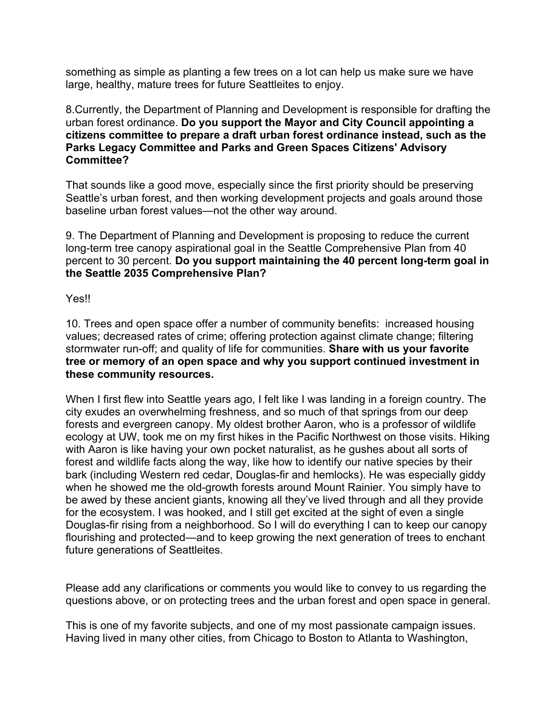something as simple as planting a few trees on a lot can help us make sure we have large, healthy, mature trees for future Seattleites to enjoy.

8.Currently, the Department of Planning and Development is responsible for drafting the urban forest ordinance. **Do you support the Mayor and City Council appointing a citizens committee to prepare a draft urban forest ordinance instead, such as the Parks Legacy Committee and Parks and Green Spaces Citizens' Advisory Committee?**

That sounds like a good move, especially since the first priority should be preserving Seattle's urban forest, and then working development projects and goals around those baseline urban forest values—not the other way around.

9. The Department of Planning and Development is proposing to reduce the current long-term tree canopy aspirational goal in the Seattle Comprehensive Plan from 40 percent to 30 percent. **Do you support maintaining the 40 percent long-term goal in the Seattle 2035 Comprehensive Plan?**

Yes!!

10. Trees and open space offer a number of community benefits: increased housing values; decreased rates of crime; offering protection against climate change; filtering stormwater run-off; and quality of life for communities. **Share with us your favorite tree or memory of an open space and why you support continued investment in these community resources.**

When I first flew into Seattle years ago, I felt like I was landing in a foreign country. The city exudes an overwhelming freshness, and so much of that springs from our deep forests and evergreen canopy. My oldest brother Aaron, who is a professor of wildlife ecology at UW, took me on my first hikes in the Pacific Northwest on those visits. Hiking with Aaron is like having your own pocket naturalist, as he gushes about all sorts of forest and wildlife facts along the way, like how to identify our native species by their bark (including Western red cedar, Douglas-fir and hemlocks). He was especially giddy when he showed me the old-growth forests around Mount Rainier. You simply have to be awed by these ancient giants, knowing all they've lived through and all they provide for the ecosystem. I was hooked, and I still get excited at the sight of even a single Douglas-fir rising from a neighborhood. So I will do everything I can to keep our canopy flourishing and protected—and to keep growing the next generation of trees to enchant future generations of Seattleites.

Please add any clarifications or comments you would like to convey to us regarding the questions above, or on protecting trees and the urban forest and open space in general.

This is one of my favorite subjects, and one of my most passionate campaign issues. Having lived in many other cities, from Chicago to Boston to Atlanta to Washington,